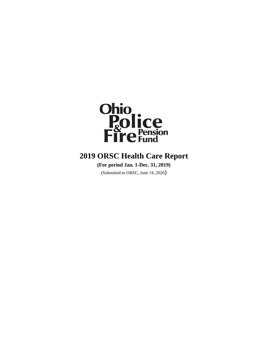

## **2019 ORSC Health Care Report**

**(For period Jan. 1-Dec. 31, 2019)** 

(Submitted to ORSC, June 18, 2020)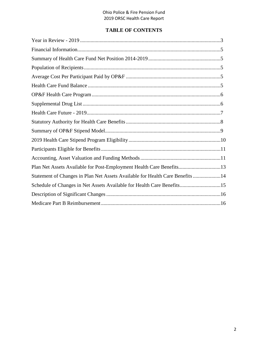## **TABLE OF CONTENTS**

| Plan Net Assets Available for Post-Employment Health Care Benefits13          |  |
|-------------------------------------------------------------------------------|--|
| Statement of Changes in Plan Net Assets Available for Health Care Benefits 14 |  |
| Schedule of Changes in Net Assets Available for Health Care Benefits15        |  |
|                                                                               |  |
|                                                                               |  |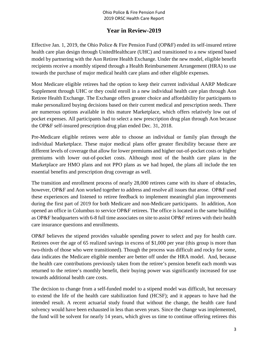## **Year in Review-2019**

Effective Jan. 1, 2019, the Ohio Police & Fire Pension Fund (OP&F) ended its self-insured retiree health care plan design through UnitedHealthcare (UHC) and transitioned to a new stipend based model by partnering with the Aon Retiree Health Exchange. Under the new model, eligible benefit recipients receive a monthly stipend through a Health Reimbursement Arrangement (HRA) to use towards the purchase of major medical health care plans and other eligible expenses.

Most Medicare eligible retirees had the option to keep their current individual AARP Medicare Supplement through UHC or they could enroll in a new individual health care plan through Aon Retiree Health Exchange. The Exchange offers greater choice and affordability for participants to make personalized buying decisions based on their current medical and prescription needs. There are numerous options available in this mature Marketplace, which offers relatively low out of pocket expenses. All participants had to select a new prescription drug plan through Aon because the OP&F self-insured prescription drug plan ended Dec. 31, 2018.

Pre-Medicare eligible retirees were able to choose an individual or family plan through the individual Marketplace. These major medical plans offer greater flexibility because there are different levels of coverage that allow for lower premiums and higher out-of-pocket costs or higher premiums with lower out-of-pocket costs. Although most of the health care plans in the Marketplace are HMO plans and not PPO plans as we had hoped, the plans all include the ten essential benefits and prescription drug coverage as well.

The transition and enrollment process of nearly 28,000 retirees came with its share of obstacles, however, OP&F and Aon worked together to address and resolve all issues that arose. OP&F used these experiences and listened to retiree feedback to implement meaningful plan improvements during the first part of 2019 for both Medicare and non-Medicare participants. In addition, Aon opened an office in Columbus to service OP&F retirees. The office is located in the same building as OP&F headquarters with 6-8 full time associates on site to assist OP&F retirees with their health care insurance questions and enrollments.

OP&F believes the stipend provides valuable spending power to select and pay for health care. Retirees over the age of 65 realized savings in excess of \$1,000 per year (this group is more than two-thirds of those who were transitioned). Though the process was difficult and rocky for some, data indicates the Medicare eligible member are better off under the HRA model. And, because the health care contributions previously taken from the retiree's pension benefit each month was returned to the retiree's monthly benefit, their buying power was significantly increased for use towards additional health care costs.

The decision to change from a self-funded model to a stipend model was difficult, but necessary to extend the life of the health care stabilization fund (HCSF); and it appears to have had the intended result. A recent actuarial study found that without the change, the health care fund solvency would have been exhausted in less than seven years. Since the change was implemented, the fund will be solvent for nearly 14 years, which gives us time to continue offering retirees this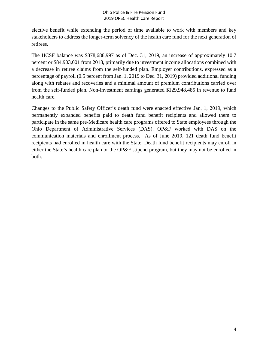elective benefit while extending the period of time available to work with members and key stakeholders to address the longer-term solvency of the health care fund for the next generation of retirees.

The HCSF balance was \$878,688,997 as of Dec. 31, 2019, an increase of approximately 10.7 percent or \$84,903,001 from 2018, primarily due to investment income allocations combined with a decrease in retiree claims from the self-funded plan. Employer contributions, expressed as a percentage of payroll (0.5 percent from Jan. 1, 2019 to Dec. 31, 2019) provided additional funding along with rebates and recoveries and a minimal amount of premium contributions carried over from the self-funded plan. Non-investment earnings generated \$129,948,485 in revenue to fund health care.

Changes to the Public Safety Officer's death fund were enacted effective Jan. 1, 2019, which permanently expanded benefits paid to death fund benefit recipients and allowed them to participate in the same pre-Medicare health care programs offered to State employees through the Ohio Department of Administrative Services (DAS). OP&F worked with DAS on the communication materials and enrollment process. As of June 2019, 121 death fund benefit recipients had enrolled in health care with the State. Death fund benefit recipients may enroll in either the State's health care plan or the OP&F stipend program, but they may not be enrolled in both.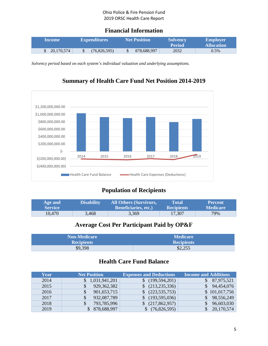## **Financial Information**

| <b>Income</b> | <b>Expenditures</b> | <b>Net Position</b> | <b>Solvency</b><br><b>Period</b> | <b>Employer</b><br><b>Allocation</b> |
|---------------|---------------------|---------------------|----------------------------------|--------------------------------------|
| 20,170,574    | (76,826,595)        | 878,688,997         | 2032                             | 0.5%                                 |

*Solvency period based on each system's individual valuation and underlying assumptions.*



## **Summary of Health Care Fund Net Position 2014-2019**

## **Population of Recipients**

| Age and        | <b>Disability</b> | All Others (Survivors,      | Total             | <b>Percent</b>  |
|----------------|-------------------|-----------------------------|-------------------|-----------------|
| <b>Service</b> |                   | <b>Beneficiaries, etc.)</b> | <b>Recipients</b> | <b>Medicare</b> |
| 10,470         | 3,468             | 3,369                       | 17,307            | 79%             |

## **Average Cost Per Participant Paid by OP&F**

| <b>Non-Medicare</b> | <b>Medicare</b>   |
|---------------------|-------------------|
| <b>Recipients</b>   | <b>Recipients</b> |
| \$9,398             | \$2,255           |

## **Health Care Fund Balance**

| Year | <b>Net Position</b> | <b>Expenses and Deductions</b> | <b>Income and Additions</b> |
|------|---------------------|--------------------------------|-----------------------------|
| 2014 | \$1,031,941,201     | (199, 594, 201)                | 87,975,521                  |
| 2015 | 929, 362, 382       | (213, 235, 336)                | 94,454,076                  |
| 2016 | 901,653,715         | (223, 535, 753)                | \$101,017,756               |
| 2017 | 932,087,789         | (193,595,036)                  | 98,556,249                  |
| 2018 | 793,785,996         | (217, 862, 957)                | 96,603,030                  |
| 2019 | 878,688,997         | (76,826,595)                   | 20,170,574                  |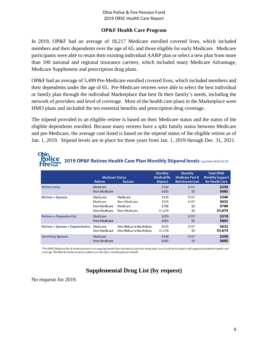#### **OP&F Health Care Program**

In 2019, OP&F had an average of 18,217 Medicare enrolled covered lives, which included members and their dependents over the age of 65, and those eligible for early Medicare. Medicare participants were able to retain their existing individual AARP plan or select a new plan from more than 100 national and regional insurance carriers, which included many Medicare Advantage, Medicare Supplement and prescription drug plans.

OP&F had an average of 5,499 Pre-Medicare enrolled covered lives, which included members and their dependents under the age of 65. Pre-Medicare retirees were able to select the best individual or family plan through the individual Marketplace that best fit their family's needs, including the network of providers and level of coverage. Most of the health care plans in the Marketplace were HMO plans and included the ten essential benefits and prescription drug coverage.

The stipend provided to an eligible retiree is based on their Medicare status and the status of the eligible dependents enrolled. Because many retirees have a split family status between Medicare and pre-Medicare, the average cost listed is based on the stipend status of the eligible retiree as of Jan. 1, 2019. Stipend levels are in place for three years from Jan. 1, 2019 through Dec. 31, 2021.

#### **Ohio** plice 2019 OP&F Retiree Health Care Plan Monthly Stipend levels (updated 8/8/2018)

|                                 | <b>Medicare Status</b><br>Retiree                    | <b>Spouse</b>                                                             | <b>Monthly</b><br><b>Medical/Rx</b><br><b>Stipend</b> | <b>Monthly</b><br><b>Medicare Part B</b><br>Reimbursement | <b>Total OP&amp;F</b><br><b>Monthly Support</b><br>for Health Care |
|---------------------------------|------------------------------------------------------|---------------------------------------------------------------------------|-------------------------------------------------------|-----------------------------------------------------------|--------------------------------------------------------------------|
| <b>Retiree only:</b>            | Medicare<br>Non-Medicare                             |                                                                           | \$143<br>\$685                                        | \$107<br>\$0                                              | \$250<br>\$685                                                     |
| <b>Retiree + Spouse:</b>        | Medicare<br>Medicare<br>Non-Medicare<br>Non-Medicare | Medicare<br>Non-Medicare<br>Medicare<br>Non-Medicare                      | \$239<br>\$525<br>\$788<br>\$1,074                    | \$107<br>\$107<br>\$0<br>\$0                              | \$346<br>\$632<br>\$788<br>\$1,074                                 |
| Retiree + Dependent(s):         | Medicare<br>Non-Medicare                             |                                                                           | \$203<br>\$865                                        | \$107<br>\$0                                              | \$310<br>\$865                                                     |
| Retiree + Spouse + Dependent(s) | Medicare<br>Non-Medicare                             | <b>Either Medicare or Non-Medicare</b><br>Either Medicare or Non-Medicare | \$525<br>\$1,074                                      | \$107<br>\$0                                              | \$632<br>\$1,074                                                   |
| <b>Surviving Spouse:</b>        | Medicare<br>Non-Medicare                             |                                                                           | \$143<br>\$685                                        | \$107<br>\$0                                              | \$250<br>\$685                                                     |

\*The OP&F Medicare Part B reimbursement is an ongoing benefit that has been in place for many years, but should be included in the support provided for health care coverage. The Med B reimbursement is added to a member's monthly pension benefit.

## **Supplemental Drug List (by request)**

No requests for 2019.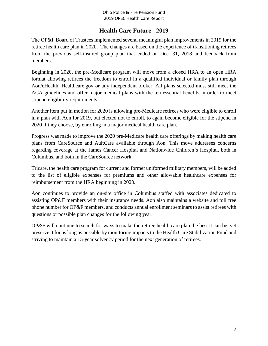## **Health Care Future - 2019**

The OP&F Board of Trustees implemented several meaningful plan improvements in 2019 for the retiree health care plan in 2020. The changes are based on the experience of transitioning retirees from the previous self-insured group plan that ended on Dec. 31, 2018 and feedback from members.

Beginning in 2020, the pre-Medicare program will move from a closed HRA to an open HRA format allowing retirees the freedom to enroll in a qualified individual or family plan through Aon/eHealth, Healthcare.gov or any independent broker. All plans selected must still meet the ACA guidelines and offer major medical plans with the ten essential benefits in order to meet stipend eligibility requirements.

Another item put in motion for 2020 is allowing pre-Medicare retirees who were eligible to enroll in a plan with Aon for 2019, but elected not to enroll, to again become eligible for the stipend in 2020 if they choose, by enrolling in a major medical health care plan.

Progress was made to improve the 2020 pre-Medicare health care offerings by making health care plans from CareSource and AultCare available through Aon. This move addresses concerns regarding coverage at the James Cancer Hospital and Nationwide Children's Hospital, both in Columbus, and both in the CareSource network.

Tricare, the health care program for current and former uniformed military members, will be added to the list of eligible expenses for premiums and other allowable healthcare expenses for reimbursement from the HRA beginning in 2020.

Aon continues to provide an on-site office in Columbus staffed with associates dedicated to assisting OP&F members with their insurance needs. Aon also maintains a website and toll free phone number for OP&F members, and conducts annual enrollment seminars to assist retirees with questions or possible plan changes for the following year.

OP&F will continue to search for ways to make the retiree health care plan the best it can be, yet preserve it for as long as possible by monitoring impacts to the Health Care Stabilization Fund and striving to maintain a 15-year solvency period for the next generation of retirees.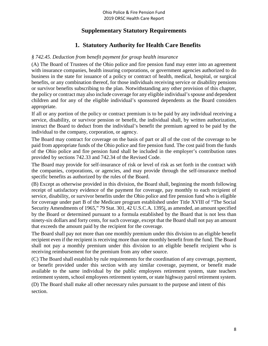## **Supplementary Statutory Requirements**

## **1. Statutory Authority for Health Care Benefits**

#### *§ 742.45. Deduction from benefit payment for group health insurance*

(A) The Board of Trustees of the Ohio police and fire pension fund may enter into an agreement with insurance companies, health insuring corporations, or government agencies authorized to do business in the state for issuance of a policy or contract of health, medical, hospital, or surgical benefits, or any combination thereof, for those individuals receiving service or disability pensions or survivor benefits subscribing to the plan. Notwithstanding any other provision of this chapter, the policy or contract may also include coverage for any eligible individual's spouse and dependent children and for any of the eligible individual's sponsored dependents as the Board considers appropriate.

If all or any portion of the policy or contract premium is to be paid by any individual receiving a service, disability, or survivor pension or benefit, the individual shall, by written authorization, instruct the Board to deduct from the individual's benefit the premium agreed to be paid by the individual to the company, corporation, or agency.

The Board may contract for coverage on the basis of part or all of the cost of the coverage to be paid from appropriate funds of the Ohio police and fire pension fund. The cost paid from the funds of the Ohio police and fire pension fund shall be included in the employer's contribution rates provided by sections 742.33 and 742.34 of the Revised Code.

The Board may provide for self-insurance of risk or level of risk as set forth in the contract with the companies, corporations, or agencies, and may provide through the self-insurance method specific benefits as authorized by the rules of the Board.

(B) Except as otherwise provided in this division, the Board shall, beginning the month following receipt of satisfactory evidence of the payment for coverage, pay monthly to each recipient of service, disability, or survivor benefits under the Ohio police and fire pension fund who is eligible for coverage under part B of the Medicare program established under Title XVIII of "The Social Security Amendments of 1965," 79 Stat. 301, 42 U.S.C.A. 1395j, as amended, an amount specified by the Board or determined pursuant to a formula established by the Board that is not less than ninety-six dollars and forty cents, for such coverage, except that the Board shall not pay an amount that exceeds the amount paid by the recipient for the coverage.

The Board shall pay not more than one monthly premium under this division to an eligible benefit recipient even if the recipient is receiving more than one monthly benefit from the fund. The Board shall not pay a monthly premium under this division to an eligible benefit recipient who is receiving reimbursement for the premium from any other source.

(C) The Board shall establish by rule requirements for the coordination of any coverage, payment, or benefit provided under this section with any similar coverage, payment, or benefit made available to the same individual by the public employees retirement system, state teachers retirement system, school employees retirement system, or state highway patrol retirement system.

(D) The Board shall make all other necessary rules pursuant to the purpose and intent of this section.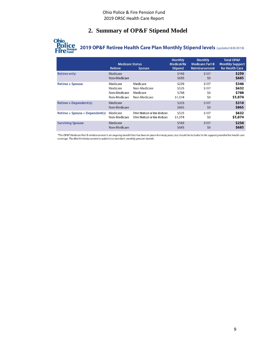## **2. Summary of OP&F Stipend Model**



# **Ohio**<br> **Police**<br>
Fire Fund<br>
Fire Fund<br>
Intertion 2019 OP&F Retiree Health Care Plan Monthly Stipend levels (updated 8/8/2018)

|                                 | <b>Medicare Status</b><br><b>Retiree</b>             | <b>Spouse</b>                                                             | <b>Monthly</b><br><b>Medical/Rx</b><br><b>Stipend</b> | <b>Monthly</b><br><b>Medicare Part B</b><br>Reimbursement | <b>Total OP&amp;F</b><br><b>Monthly Support</b><br>for Health Care |
|---------------------------------|------------------------------------------------------|---------------------------------------------------------------------------|-------------------------------------------------------|-----------------------------------------------------------|--------------------------------------------------------------------|
| <b>Retiree only:</b>            | Medicare<br>Non-Medicare                             |                                                                           | \$143<br>\$685                                        | \$107<br>\$0                                              | \$250<br>\$685                                                     |
| Retiree + Spouse:               | Medicare<br>Medicare<br>Non-Medicare<br>Non-Medicare | Medicare<br>Non-Medicare<br>Medicare<br>Non-Medicare                      | \$239<br>\$525<br>\$788<br>\$1,074                    | \$107<br>\$107<br>\$0<br>\$0                              | \$346<br>\$632<br>\$788<br>\$1,074                                 |
| Retiree + Dependent(s):         | Medicare<br>Non-Medicare                             |                                                                           | \$203<br>\$865                                        | \$107<br>\$0                                              | \$310<br>\$865                                                     |
| Retiree + Spouse + Dependent(s) | Medicare<br>Non-Medicare                             | <b>Either Medicare or Non-Medicare</b><br>Either Medicare or Non-Medicare | \$525<br>\$1,074                                      | \$107<br>\$0                                              | \$632<br>\$1,074                                                   |
| <b>Surviving Spouse:</b>        | Medicare<br>Non-Medicare                             |                                                                           | \$143<br>\$685                                        | \$107<br>\$0                                              | \$250<br>\$685                                                     |

\*The OP&F Medicare Part B reimbursement is an ongoing benefit that has been in place for many years, but should be included in the support provided for health care<br>coverage. The Med B reimbursement is added to a member's m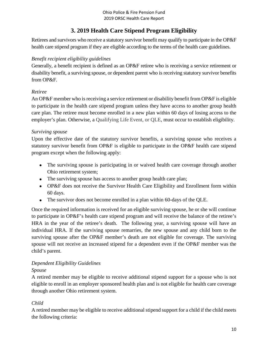## **3. 2019 Health Care Stipend Program Eligibility**

Retirees and survivors who receive a statutory survivor benefit may qualify to participate in the OP&F health care stipend program if they are eligible according to the terms of the health care guidelines.

## *Benefit recipient eligibility guidelines*

Generally, a benefit recipient is defined as an OP&F retiree who is receiving a service retirement or disability benefit, a surviving spouse, or dependent parent who is receiving statutory survivor benefits from OP&F.

## *Retiree*

An OP&F member who is receiving a service retirement or disability benefit from OP&F is eligible to participate in the health care stipend program unless they have access to another group health care plan. The retiree must become enrolled in a new plan within 60 days of losing access to the employer's plan. Otherwise, a Qualifying Life Event, or QLE, must occur to establish eligibility.

## *Surviving spouse*

Upon the effective date of the statutory survivor benefits, a surviving spouse who receives a statutory survivor benefit from OP&F is eligible to participate in the OP&F health care stipend program except when the following apply:

- The surviving spouse is participating in or waived health care coverage through another Ohio retirement system;
- The surviving spouse has access to another group health care plan;
- OP&F does not receive the Survivor Health Care Eligibility and Enrollment form within 60 days.
- The survivor does not become enrolled in a plan within 60-days of the QLE.

Once the required information is received for an eligible surviving spouse, he or she will continue to participate in OP&F's health care stipend program and will receive the balance of the retiree's HRA in the year of the retiree's death. The following year, a surviving spouse will have an individual HRA. If the surviving spouse remarries, the new spouse and any child born to the surviving spouse after the OP&F member's death are not eligible for coverage. The surviving spouse will not receive an increased stipend for a dependent even if the OP&F member was the child's parent.

#### *Dependent Eligibility Guidelines Spouse*

A retired member may be eligible to receive additional stipend support for a spouse who is not eligible to enroll in an employer sponsored health plan and is not eligible for health care coverage through another Ohio retirement system.

## *Child*

A retired member may be eligible to receive additional stipend support for a child if the child meets the following criteria: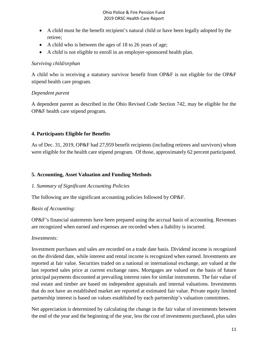- A child must be the benefit recipient's natural child or have been legally adopted by the retiree;
- A child who is between the ages of 18 to 26 years of age;
- A child is not eligible to enroll in an employer-sponsored health plan.

#### *Surviving child/orphan*

A child who is receiving a statutory survivor benefit from OP&F is not eligible for the OP&F stipend health care program.

#### *Dependent parent*

A dependent parent as described in the Ohio Revised Code Section 742, may be eligible for the OP&F health care stipend program.

#### **4. Participants Eligible for Benefits**

As of Dec. 31, 2019, OP&F had 27,959 benefit recipients (including retirees and survivors) whom were eligible for the health care stipend program. Of those, approximately 62 percent participated.

#### **5. Accounting, Asset Valuation and Funding Methods**

#### *1. Summary of Significant Accounting Policies*

The following are the significant accounting policies followed by OP&F.

#### *Basis of Accounting:*

OP&F's financial statements have been prepared using the accrual basis of accounting. Revenues are recognized when earned and expenses are recorded when a liability is incurred.

#### *Investments:*

Investment purchases and sales are recorded on a trade date basis. Dividend income is recognized on the dividend date, while interest and rental income is recognized when earned. Investments are reported at fair value. Securities traded on a national or international exchange, are valued at the last reported sales price at current exchange rates. Mortgages are valued on the basis of future principal payments discounted at prevailing interest rates for similar instruments. The fair value of real estate and timber are based on independent appraisals and internal valuations. Investments that do not have an established market are reported at estimated fair value. Private equity limited partnership interest is based on values established by each partnership's valuation committees.

Net appreciation is determined by calculating the change in the fair value of investments between the end of the year and the beginning of the year, less the cost of investments purchased, plus sales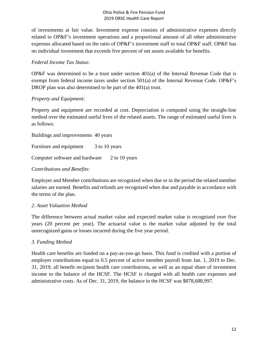of investments at fair value. Investment expense consists of administrative expenses directly related to OP&F's investment operations and a proportional amount of all other administrative expenses allocated based on the ratio of OP&F's investment staff to total OP&F staff. OP&F has no individual investment that exceeds five percent of net assets available for benefits.

#### *Federal Income Tax Status:*

OP&F was determined to be a trust under section  $401(a)$  of the Internal Revenue Code that is exempt from federal income taxes under section 501(a) of the Internal Revenue Code. OP&F's DROP plan was also determined to be part of the 401(a) trust.

## *Property and Equipment:*

Property and equipment are recorded at cost. Depreciation is computed using the straight-line method over the estimated useful lives of the related assets. The range of estimated useful lives is as follows:

Buildings and improvements 40 years Furniture and equipment 3 to 10 years Computer software and hardware 2 to 10 years

#### *Contributions and Benefits:*

Employer and Member contributions are recognized when due or in the period the related member salaries are earned. Benefits and refunds are recognized when due and payable in accordance with the terms of the plan.

#### *2. Asset Valuation Method*

The difference between actual market value and expected market value is recognized over five years (20 percent per year). The actuarial value is the market value adjusted by the total unrecognized gains or losses incurred during the five year period.

#### *3. Funding Method*

Health care benefits are funded on a pay-as-you-go basis. This fund is credited with a portion of employer contributions equal to 0.5 percent of active member payroll from Jan. 1, 2019 to Dec. 31, 2019; all benefit recipient health care contributions, as well as an equal share of investment income to the balance of the HCSF. The HCSF is charged with all health care expenses and administrative costs. As of Dec. 31, 2019, the balance in the HCSF was \$878,688,997.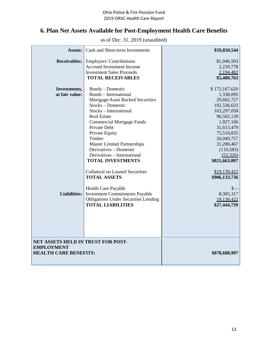## **6. Plan Net Assets Available for Post-Employment Health Care Benefits**

as of Dec. 31, 2019 (unaudited)

| <b>Assets:</b>                                                                          | Cash and Short-term Investments                                                                                                                                                                                                                                                                                                                                             | \$59,850,544                                                                                                                                                                                          |
|-----------------------------------------------------------------------------------------|-----------------------------------------------------------------------------------------------------------------------------------------------------------------------------------------------------------------------------------------------------------------------------------------------------------------------------------------------------------------------------|-------------------------------------------------------------------------------------------------------------------------------------------------------------------------------------------------------|
| <b>Receivables:</b>                                                                     | <b>Employers' Contributions</b><br><b>Accrued Investment Income</b><br><b>Investment Sales Proceeds</b><br><b>TOTAL RECEIVABLES</b>                                                                                                                                                                                                                                         | \$1,046,503<br>2,239,778<br>2,194,482<br>\$5,480,763                                                                                                                                                  |
| Investments,<br>at fair value:                                                          | <b>Bonds</b> – Domestic<br><b>Bonds</b> – International<br>Mortgage/Asset Backed Securities<br>Stocks - Domestic<br>Stocks - International<br><b>Real Estate</b><br><b>Commercial Mortgage Funds</b><br>Private Debt<br>Private Equity<br>Timber<br><b>Master Limited Partnerships</b><br>Derivatives - Domestic<br>Derivatives - International<br><b>TOTAL INVESTMENTS</b> | \$172,167,620<br>1,338,095<br>29,602,727<br>192,536,633<br>163,297,058<br>96,502,139<br>1,927,106<br>31,613,479<br>75,510,835<br>26,049,757<br>31,280,467<br>(110, 583)<br>(52, 326)<br>\$821,663,007 |
| Liabilities:                                                                            | <b>Collateral on Loaned Securities</b><br><b>TOTAL ASSETS</b><br>Health Care Payable<br><b>Investment Commitments Payable</b><br><b>Obligations Under Securities Lending</b><br><b>TOTAL LIABILITIES</b>                                                                                                                                                                    | \$19,139,422<br>\$906,133,736<br>$$ -$<br>8,305,317<br>19,139,422<br>\$27,444,739                                                                                                                     |
| NET ASSETS HELD IN TRUST FOR POST-<br><b>EMPLOYMENT</b><br><b>HEALTH CARE BENEFITS:</b> |                                                                                                                                                                                                                                                                                                                                                                             | \$878,688,997                                                                                                                                                                                         |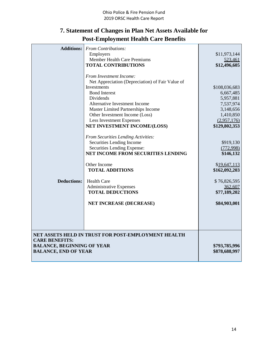## **7. Statement of Changes in Plan Net Assets Available for Post-Employment Health Care Benefits**

| <b>Additions:</b>                                                                         | <b>From Contributions:</b>                                                                                         |                                |
|-------------------------------------------------------------------------------------------|--------------------------------------------------------------------------------------------------------------------|--------------------------------|
|                                                                                           | Employers                                                                                                          | \$11,973,144                   |
|                                                                                           | <b>Member Health Care Premiums</b>                                                                                 | 523,461                        |
|                                                                                           | <b>TOTAL CONTRIBUTIONS</b>                                                                                         | \$12,496,605                   |
|                                                                                           | From Investment Income:<br>Net Appreciation (Depreciation) of Fair Value of<br>Investments<br><b>Bond Interest</b> | \$108,036,683<br>6,667,485     |
|                                                                                           | Dividends                                                                                                          | 5,957,881                      |
|                                                                                           | Alternative Investment Income                                                                                      | 7,537,974                      |
|                                                                                           | <b>Master Limited Partnerships Income</b>                                                                          | 3,148,656                      |
|                                                                                           | Other Investment Income (Loss)                                                                                     | 1,410,850                      |
|                                                                                           | <b>Less Investment Expenses</b>                                                                                    | (2.957, 176)                   |
|                                                                                           | NET INVESTMENT INCOME/(LOSS)                                                                                       | \$129,802,353                  |
|                                                                                           | From Securities Lending Activities:<br>Securities Lending Income                                                   | \$919,130                      |
|                                                                                           | Securities Lending Expense:                                                                                        | (772,998)                      |
|                                                                                           | NET INCOME FROM SECURITIES LENDING                                                                                 | \$146,132                      |
|                                                                                           | Other Income<br><b>TOTAL ADDITIONS</b>                                                                             | \$19,647,113<br>\$162,092,203  |
| <b>Deductions:</b>                                                                        | <b>Health Care</b>                                                                                                 | \$76,826,595                   |
|                                                                                           | Administrative Expenses                                                                                            | 362,607                        |
|                                                                                           | <b>TOTAL DEDUCTIONS</b>                                                                                            | \$77,189,202                   |
|                                                                                           | <b>NET INCREASE (DECREASE)</b>                                                                                     | \$84,903,001                   |
|                                                                                           |                                                                                                                    |                                |
|                                                                                           | NET ASSETS HELD IN TRUST FOR POST-EMPLOYMENT HEALTH                                                                |                                |
| <b>CARE BENEFITS:</b><br><b>BALANCE, BEGINNING OF YEAR</b><br><b>BALANCE, END OF YEAR</b> |                                                                                                                    | \$793,785,996<br>\$878,688,997 |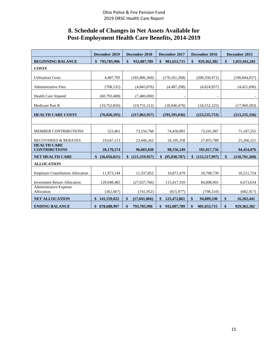## **8. Schedule of Changes in Net Assets Available for Post-Employment Health Care Benefits, 2014-2019**

|                                            | December 2019                | December 2018                | December 2017        | December 2016         | December 2015         |
|--------------------------------------------|------------------------------|------------------------------|----------------------|-----------------------|-----------------------|
| <b>BEGINNING BALANCE</b>                   | $\mathbf{\$}$<br>793,785,996 | $\mathbf{\$}$<br>932,087,789 | \$<br>901,653,715    | \$<br>929,362,382     | \$<br>1,031,941,201   |
| <b>COSTS</b>                               |                              |                              |                      |                       |                       |
| <b>Utilization Costs</b>                   | 4,487,795                    | (185, 806, 369)              | (170, 161, 268)      | (200, 358, 471)       | (190, 844, 057)       |
| <b>Administrative Fees</b>                 | (768, 132)                   | (4,845,076)                  | (4,487,298)          | (4,624,957)           | (4,421,696)           |
| <b>Health Care Stipend</b>                 | (60, 793, 408)               | (7,480,000)                  |                      |                       |                       |
| Medicare Part B                            | (19,752,850)                 | (19, 731, 512)               | (18,946,470)         | (18, 552, 325)        | (17,969,583)          |
| <b>HEALTH CARE COSTS</b>                   | (76, 826, 595)               | (217, 862, 957)              | (193, 595, 036)      | (223, 535, 753)       | (213, 235, 336)       |
|                                            |                              |                              |                      |                       |                       |
| <b>MEMBER CONTRIBUTIONS</b>                | 523,461                      | 73,156,768                   | 74,450,891           | 73,161,967            | 71,187,555            |
| <b>RECOVERIES &amp; REBATES</b>            | 19,647,113                   | 23,446,262                   | 24, 105, 358         | 27,855,789            | 23,266,521            |
| <b>HEALTH CARE</b><br><b>CONTRIBUTIONS</b> | 20,170,574                   | 96,603,030                   | 98,556,249           | 101,017,756           | 94,454,076            |
| <b>NET HEALTH CARE</b>                     | \$<br>(56, 656, 021)         | (121, 259, 927)<br>\$        | (95, 038, 787)<br>\$ | (122, 517, 997)<br>\$ | \$<br>(118, 781, 260) |
| <b>ALLOCATION</b>                          |                              |                              |                      |                       |                       |
| <b>Employer Contribution Allocation</b>    | 11,973,144                   | 11,337,852                   | 10,871,479           | 10,708,739            | 10,211,724            |
| <b>Investment Return Allocation</b>        | 129,948,485                  | (27, 637, 766)               | 115,417,359          | 84,898,901            | 6,673,634             |
| Administrative Expense<br>Allocation       | (362, 607)                   | (741, 952)                   | (815,977)            | (798, 310)            | (682, 917)            |
| <b>NET ALLOCATION</b>                      | \$141,559,022                | \$<br>(17, 041, 866)         | \$<br>125,472,861    | \$<br>94,809,330      | \$<br>16,202,441      |
| <b>ENDING BALANCE</b>                      | 878,688,997<br>\$            | \$<br>793,785,996            | 932,087,789<br>\$    | \$<br>901,653,715     | \$<br>929, 362, 382   |